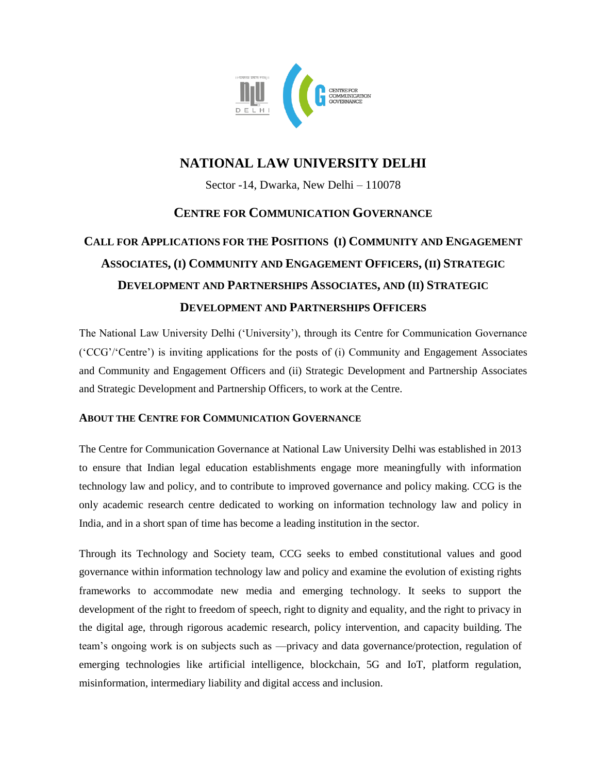

# **NATIONAL LAW UNIVERSITY DELHI**

Sector -14, Dwarka, New Delhi – 110078

# **CENTRE FOR COMMUNICATION GOVERNANCE**

# **CALL FOR APPLICATIONS FOR THE POSITIONS (I) COMMUNITY AND ENGAGEMENT ASSOCIATES, (I) COMMUNITY AND ENGAGEMENT OFFICERS, (II) STRATEGIC DEVELOPMENT AND PARTNERSHIPS ASSOCIATES, AND (II) STRATEGIC DEVELOPMENT AND PARTNERSHIPS OFFICERS**

The National Law University Delhi ('University'), through its Centre for Communication Governance (‗CCG'/‗Centre') is inviting applications for the posts of (i) Community and Engagement Associates and Community and Engagement Officers and (ii) Strategic Development and Partnership Associates and Strategic Development and Partnership Officers, to work at the Centre.

## **ABOUT THE CENTRE FOR COMMUNICATION GOVERNANCE**

The Centre for Communication Governance at National Law University Delhi was established in 2013 to ensure that Indian legal education establishments engage more meaningfully with information technology law and policy, and to contribute to improved governance and policy making. CCG is the only academic research centre dedicated to working on information technology law and policy in India, and in a short span of time has become a leading institution in the sector.

Through its Technology and Society team, CCG seeks to embed constitutional values and good governance within information technology law and policy and examine the evolution of existing rights frameworks to accommodate new media and emerging technology. It seeks to support the development of the right to freedom of speech, right to dignity and equality, and the right to privacy in the digital age, through rigorous academic research, policy intervention, and capacity building. The team's ongoing work is on subjects such as —privacy and data governance/protection, regulation of emerging technologies like artificial intelligence, blockchain, 5G and IoT, platform regulation, misinformation, intermediary liability and digital access and inclusion.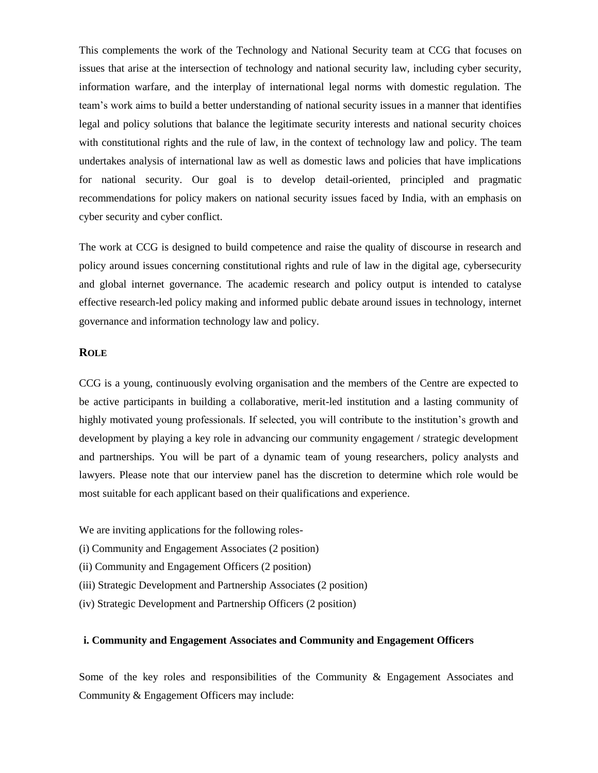This complements the work of the Technology and National Security team at CCG that focuses on issues that arise at the intersection of technology and national security law, including cyber security, information warfare, and the interplay of international legal norms with domestic regulation. The team's work aims to build a better understanding of national security issues in a manner that identifies legal and policy solutions that balance the legitimate security interests and national security choices with constitutional rights and the rule of law, in the context of technology law and policy. The team undertakes analysis of international law as well as domestic laws and policies that have implications for national security. Our goal is to develop detail-oriented, principled and pragmatic recommendations for policy makers on national security issues faced by India, with an emphasis on cyber security and cyber conflict.

The work at CCG is designed to build competence and raise the quality of discourse in research and policy around issues concerning constitutional rights and rule of law in the digital age, cybersecurity and global internet governance. The academic research and policy output is intended to catalyse effective research-led policy making and informed public debate around issues in technology, internet governance and information technology law and policy.

### **ROLE**

CCG is a young, continuously evolving organisation and the members of the Centre are expected to be active participants in building a collaborative, merit-led institution and a lasting community of highly motivated young professionals. If selected, you will contribute to the institution's growth and development by playing a key role in advancing our community engagement / strategic development and partnerships. You will be part of a dynamic team of young researchers, policy analysts and lawyers. Please note that our interview panel has the discretion to determine which role would be most suitable for each applicant based on their qualifications and experience.

- We are inviting applications for the following roles-
- (i) Community and Engagement Associates (2 position)
- (ii) Community and Engagement Officers (2 position)
- (iii) Strategic Development and Partnership Associates (2 position)
- (iv) Strategic Development and Partnership Officers (2 position)

#### **i. Community and Engagement Associates and Community and Engagement Officers**

Some of the key roles and responsibilities of the Community & Engagement Associates and Community & Engagement Officers may include: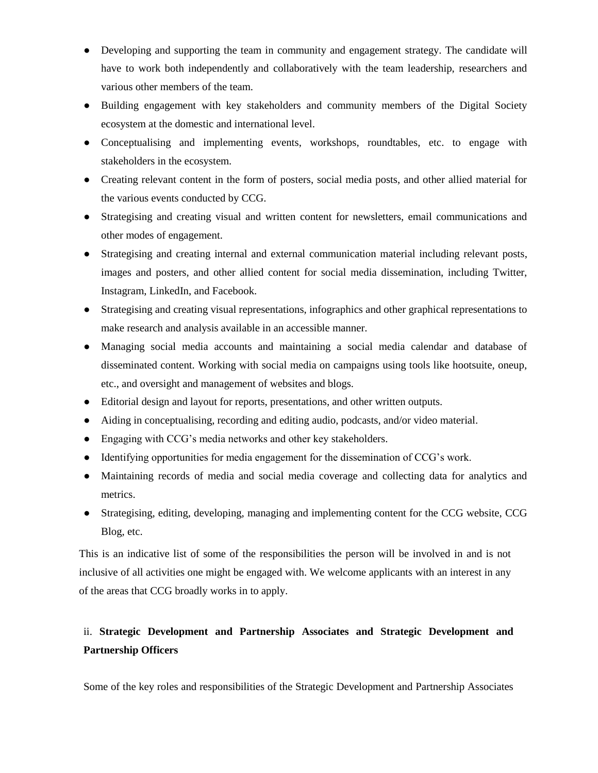- Developing and supporting the team in community and engagement strategy. The candidate will have to work both independently and collaboratively with the team leadership, researchers and various other members of the team.
- Building engagement with key stakeholders and community members of the Digital Society ecosystem at the domestic and international level.
- Conceptualising and implementing events, workshops, roundtables, etc. to engage with stakeholders in the ecosystem.
- Creating relevant content in the form of posters, social media posts, and other allied material for the various events conducted by CCG.
- Strategising and creating visual and written content for newsletters, email communications and other modes of engagement.
- Strategising and creating internal and external communication material including relevant posts, images and posters, and other allied content for social media dissemination, including Twitter, Instagram, LinkedIn, and Facebook.
- Strategising and creating visual representations, infographics and other graphical representations to make research and analysis available in an accessible manner.
- Managing social media accounts and maintaining a social media calendar and database of disseminated content. Working with social media on campaigns using tools like hootsuite, oneup, etc., and oversight and management of websites and blogs.
- Editorial design and layout for reports, presentations, and other written outputs.
- Aiding in conceptualising, recording and editing audio, podcasts, and/or video material.
- Engaging with CCG's media networks and other key stakeholders.
- Identifying opportunities for media engagement for the dissemination of CCG's work.
- Maintaining records of media and social media coverage and collecting data for analytics and metrics.
- Strategising, editing, developing, managing and implementing content for the CCG website, CCG Blog, etc.

This is an indicative list of some of the responsibilities the person will be involved in and is not inclusive of all activities one might be engaged with. We welcome applicants with an interest in any of the areas that CCG broadly works in to apply.

# ii. **Strategic Development and Partnership Associates and Strategic Development and Partnership Officers**

Some of the key roles and responsibilities of the Strategic Development and Partnership Associates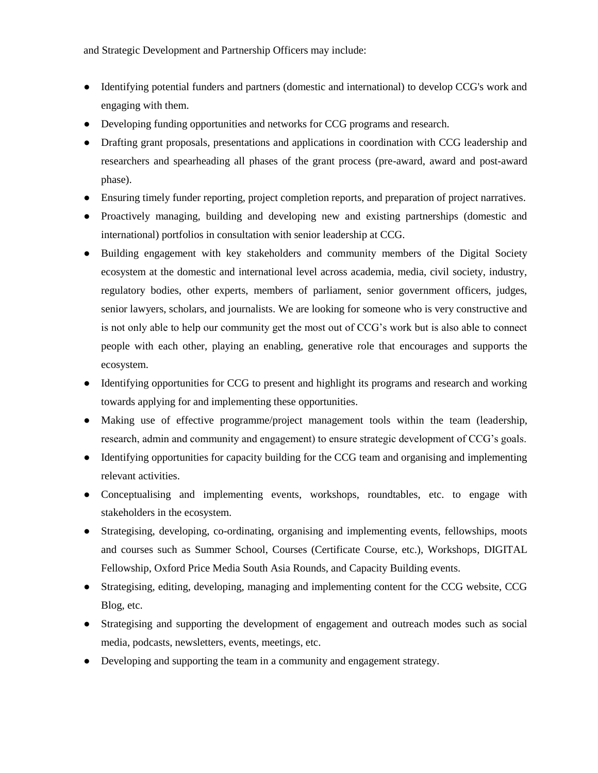and Strategic Development and Partnership Officers may include:

- Identifying potential funders and partners (domestic and international) to develop CCG's work and engaging with them.
- Developing funding opportunities and networks for CCG programs and research.
- Drafting grant proposals, presentations and applications in coordination with CCG leadership and researchers and spearheading all phases of the grant process (pre-award, award and post-award phase).
- Ensuring timely funder reporting, project completion reports, and preparation of project narratives.
- Proactively managing, building and developing new and existing partnerships (domestic and international) portfolios in consultation with senior leadership at CCG.
- Building engagement with key stakeholders and community members of the Digital Society ecosystem at the domestic and international level across academia, media, civil society, industry, regulatory bodies, other experts, members of parliament, senior government officers, judges, senior lawyers, scholars, and journalists. We are looking for someone who is very constructive and is not only able to help our community get the most out of CCG's work but is also able to connect people with each other, playing an enabling, generative role that encourages and supports the ecosystem.
- Identifying opportunities for CCG to present and highlight its programs and research and working towards applying for and implementing these opportunities.
- Making use of effective programme/project management tools within the team (leadership, research, admin and community and engagement) to ensure strategic development of CCG's goals.
- Identifying opportunities for capacity building for the CCG team and organising and implementing relevant activities.
- Conceptualising and implementing events, workshops, roundtables, etc. to engage with stakeholders in the ecosystem.
- Strategising, developing, co-ordinating, organising and implementing events, fellowships, moots and courses such as Summer School, Courses (Certificate Course, etc.), Workshops, DIGITAL Fellowship, Oxford Price Media South Asia Rounds, and Capacity Building events.
- Strategising, editing, developing, managing and implementing content for the CCG website, CCG Blog, etc.
- Strategising and supporting the development of engagement and outreach modes such as social media, podcasts, newsletters, events, meetings, etc.
- Developing and supporting the team in a community and engagement strategy.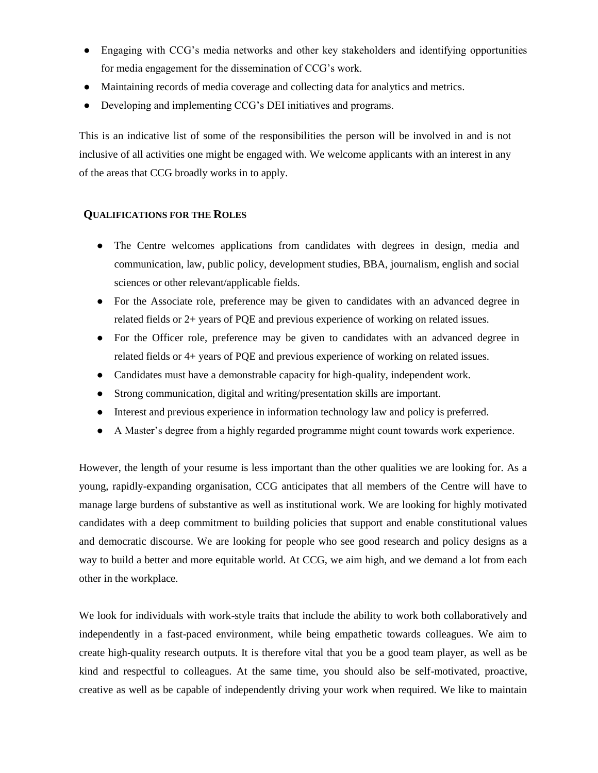- Engaging with CCG's media networks and other key stakeholders and identifying opportunities for media engagement for the dissemination of CCG's work.
- Maintaining records of media coverage and collecting data for analytics and metrics.
- Developing and implementing CCG's DEI initiatives and programs.

This is an indicative list of some of the responsibilities the person will be involved in and is not inclusive of all activities one might be engaged with. We welcome applicants with an interest in any of the areas that CCG broadly works in to apply.

### **QUALIFICATIONS FOR THE ROLES**

- The Centre welcomes applications from candidates with degrees in design, media and communication, law, public policy, development studies, BBA, journalism, english and social sciences or other relevant/applicable fields.
- For the Associate role, preference may be given to candidates with an advanced degree in related fields or 2+ years of PQE and previous experience of working on related issues.
- For the Officer role, preference may be given to candidates with an advanced degree in related fields or 4+ years of PQE and previous experience of working on related issues.
- Candidates must have a demonstrable capacity for high-quality, independent work.
- Strong communication, digital and writing/presentation skills are important.
- Interest and previous experience in information technology law and policy is preferred.
- A Master's degree from a highly regarded programme might count towards work experience.

However, the length of your resume is less important than the other qualities we are looking for. As a young, rapidly-expanding organisation, CCG anticipates that all members of the Centre will have to manage large burdens of substantive as well as institutional work. We are looking for highly motivated candidates with a deep commitment to building policies that support and enable constitutional values and democratic discourse. We are looking for people who see good research and policy designs as a way to build a better and more equitable world. At CCG, we aim high, and we demand a lot from each other in the workplace.

We look for individuals with work-style traits that include the ability to work both collaboratively and independently in a fast-paced environment, while being empathetic towards colleagues. We aim to create high-quality research outputs. It is therefore vital that you be a good team player, as well as be kind and respectful to colleagues. At the same time, you should also be self-motivated, proactive, creative as well as be capable of independently driving your work when required. We like to maintain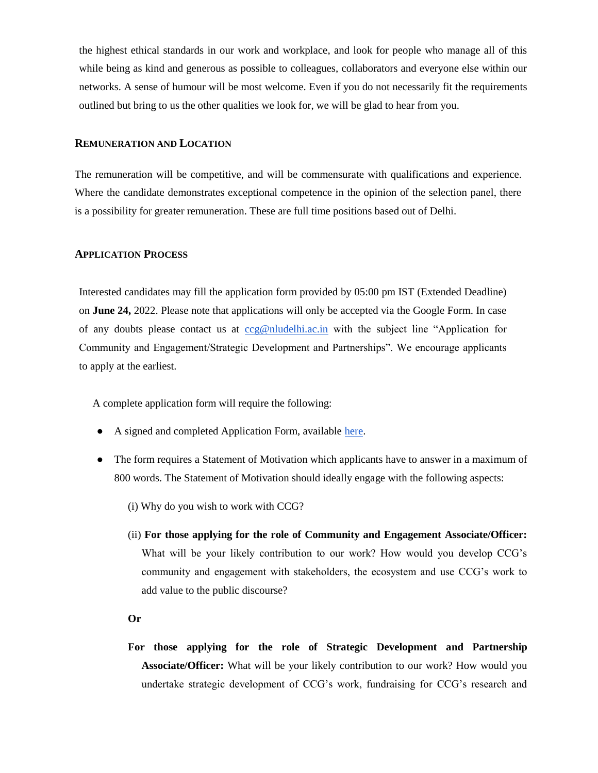the highest ethical standards in our work and workplace, and look for people who manage all of this while being as kind and generous as possible to colleagues, collaborators and everyone else within our networks. A sense of humour will be most welcome. Even if you do not necessarily fit the requirements outlined but bring to us the other qualities we look for, we will be glad to hear from you.

### **REMUNERATION AND LOCATION**

The remuneration will be competitive, and will be commensurate with qualifications and experience. Where the candidate demonstrates exceptional competence in the opinion of the selection panel, there is a possibility for greater remuneration. These are full time positions based out of Delhi.

### **APPLICATION PROCESS**

Interested candidates may fill the application form provided by 05:00 pm IST (Extended Deadline) on **June 24,** 2022. Please note that applications will only be accepted via the Google Form. In case of any doubts please contact us at  $ccg@n$ ludelhi.ac.in with the subject line "Application for Community and Engagement/Strategic Development and Partnerships‖. We encourage applicants to apply at the earliest.

A complete application form will require the following:

- A signed and completed Application Form, available [here.](https://docs.google.com/forms/d/e/1FAIpQLSc_aA6YcqXr1oik_RSwl-N_jPTgb7aAfAv3w9NKinN9veT6aQ/viewform?usp=sf_link)
- The form requires a Statement of Motivation which applicants have to answer in a maximum of 800 words. The Statement of Motivation should ideally engage with the following aspects:
	- (i) Why do you wish to work with CCG?
	- (ii) **For those applying for the role of Community and Engagement Associate/Officer:**  What will be your likely contribution to our work? How would you develop CCG's community and engagement with stakeholders, the ecosystem and use CCG's work to add value to the public discourse?

**Or**

**For those applying for the role of Strategic Development and Partnership Associate/Officer:** What will be your likely contribution to our work? How would you undertake strategic development of CCG's work, fundraising for CCG's research and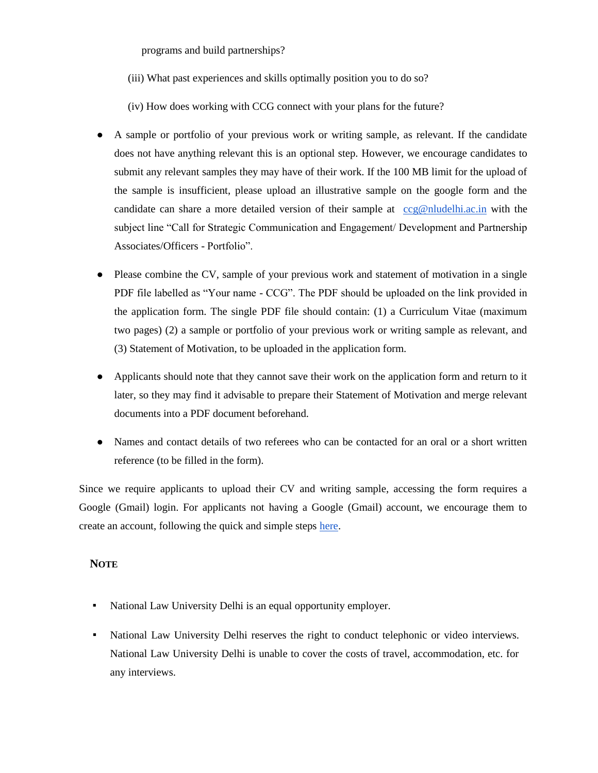programs and build partnerships?

(iii) What past experiences and skills optimally position you to do so?

(iv) How does working with CCG connect with your plans for the future?

- A sample or portfolio of your previous work or writing sample, as relevant. If the candidate does not have anything relevant this is an optional step. However, we encourage candidates to submit any relevant samples they may have of their work. If the 100 MB limit for the upload of the sample is insufficient, please upload an illustrative sample on the google form and the candidate can share a more detailed version of their sample at [ccg@nludelhi.ac.in](mailto:ccg@nludelhi.ac.in) with the subject line "Call for Strategic Communication and Engagement/ Development and Partnership Associates/Officers - Portfolio".
- Please combine the CV, sample of your previous work and statement of motivation in a single PDF file labelled as "Your name - CCG". The PDF should be uploaded on the link provided in the application form. The single PDF file should contain: (1) a Curriculum Vitae (maximum two pages) (2) a sample or portfolio of your previous work or writing sample as relevant, and (3) Statement of Motivation, to be uploaded in the application form.
- Applicants should note that they cannot save their work on the application form and return to it later, so they may find it advisable to prepare their Statement of Motivation and merge relevant documents into a PDF document beforehand.
- Names and contact details of two referees who can be contacted for an oral or a short written reference (to be filled in the form).

Since we require applicants to upload their CV and writing sample, accessing the form requires a Google (Gmail) login. For applicants not having a Google (Gmail) account, we encourage them to create an account, following the quick and simple steps [here.](https://accounts.google.com/signup/v2/webcreateaccount?flowName=GlifWebSignIn&flowEntry=SignUp)

## **NOTE**

- National Law University Delhi is an equal opportunity employer.
- National Law University Delhi reserves the right to conduct telephonic or video interviews. National Law University Delhi is unable to cover the costs of travel, accommodation, etc. for any interviews.